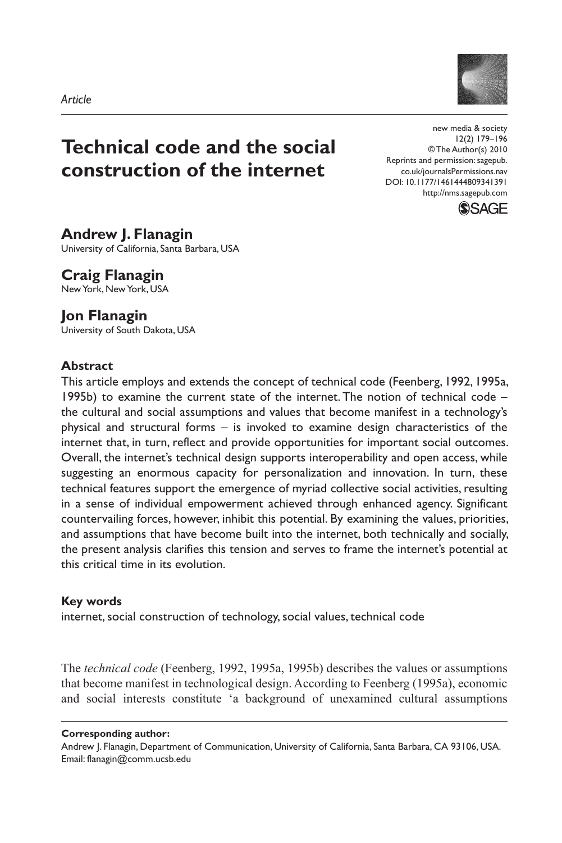

# **Technical code and the social construction of the internet**

new media & society 12(2) 179–196 © The Author(s) 2010 Reprints and permission: sagepub. co.uk/journalsPermissions.nav DOI: 10.1177/1461444809341391 http://nms.sagepub.com



# **Andrew J. Flanagin**

University of California, Santa Barbara, USA

# **Craig Flanagin**

New York, New York, USA

# **Jon Flanagin**

University of South Dakota, USA

#### **Abstract**

This article employs and extends the concept of technical code (Feenberg, 1992, 1995a, 1995b) to examine the current state of the internet. The notion of technical code – the cultural and social assumptions and values that become manifest in a technology's physical and structural forms – is invoked to examine design characteristics of the internet that, in turn, reflect and provide opportunities for important social outcomes. Overall, the internet's technical design supports interoperability and open access, while suggesting an enormous capacity for personalization and innovation. In turn, these technical features support the emergence of myriad collective social activities, resulting in a sense of individual empowerment achieved through enhanced agency. Significant countervailing forces, however, inhibit this potential. By examining the values, priorities, and assumptions that have become built into the internet, both technically and socially, the present analysis clarifies this tension and serves to frame the internet's potential at this critical time in its evolution.

#### **Key words**

internet, social construction of technology, social values, technical code

The *technical code* (Feenberg, 1992, 1995a, 1995b) describes the values or assumptions that become manifest in technological design. According to Feenberg (1995a), economic and social interests constitute 'a background of unexamined cultural assumptions

#### **Corresponding author:**

Andrew J. Flanagin, Department of Communication, University of California, Santa Barbara, CA 93106, USA. Email: flanagin@comm.ucsb.edu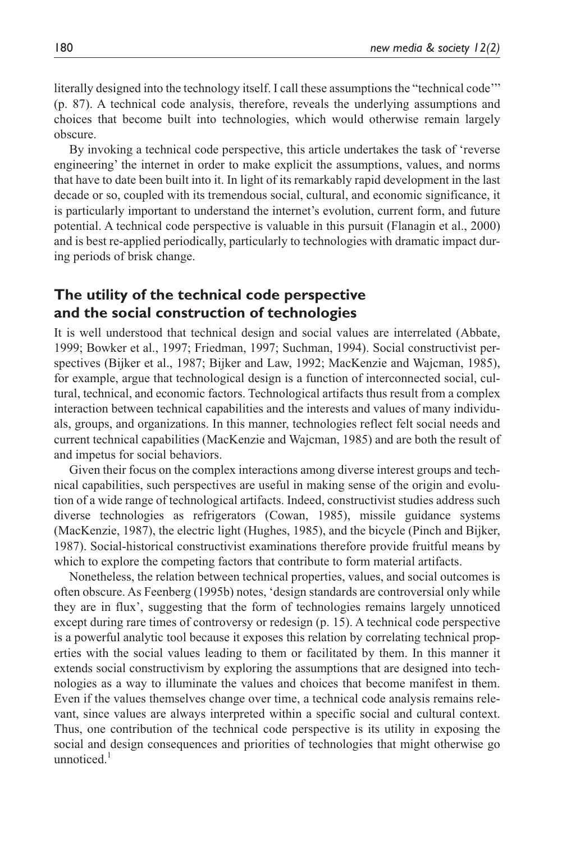literally designed into the technology itself. I call these assumptions the "technical code''' (p. 87). A technical code analysis, therefore, reveals the underlying assumptions and choices that become built into technologies, which would otherwise remain largely obscure.

By invoking a technical code perspective, this article undertakes the task of 'reverse engineering' the internet in order to make explicit the assumptions, values, and norms that have to date been built into it. In light of its remarkably rapid development in the last decade or so, coupled with its tremendous social, cultural, and economic significance, it is particularly important to understand the internet's evolution, current form, and future potential. A technical code perspective is valuable in this pursuit (Flanagin et al., 2000) and is best re-applied periodically, particularly to technologies with dramatic impact during periods of brisk change.

#### **The utility of the technical code perspective and the social construction of technologies**

It is well understood that technical design and social values are interrelated (Abbate, 1999; Bowker et al., 1997; Friedman, 1997; Suchman, 1994). Social constructivist perspectives (Bijker et al., 1987; Bijker and Law, 1992; MacKenzie and Wajcman, 1985), for example, argue that technological design is a function of interconnected social, cultural, technical, and economic factors. Technological artifacts thus result from a complex interaction between technical capabilities and the interests and values of many individuals, groups, and organizations. In this manner, technologies reflect felt social needs and current technical capabilities (MacKenzie and Wajcman, 1985) and are both the result of and impetus for social behaviors.

Given their focus on the complex interactions among diverse interest groups and technical capabilities, such perspectives are useful in making sense of the origin and evolution of a wide range of technological artifacts. Indeed, constructivist studies address such diverse technologies as refrigerators (Cowan, 1985), missile guidance systems (MacKenzie, 1987), the electric light (Hughes, 1985), and the bicycle (Pinch and Bijker, 1987). Social-historical constructivist examinations therefore provide fruitful means by which to explore the competing factors that contribute to form material artifacts.

Nonetheless, the relation between technical properties, values, and social outcomes is often obscure. As Feenberg (1995b) notes, 'design standards are controversial only while they are in flux', suggesting that the form of technologies remains largely unnoticed except during rare times of controversy or redesign (p. 15). A technical code perspective is a powerful analytic tool because it exposes this relation by correlating technical properties with the social values leading to them or facilitated by them. In this manner it extends social constructivism by exploring the assumptions that are designed into technologies as a way to illuminate the values and choices that become manifest in them. Even if the values themselves change over time, a technical code analysis remains relevant, since values are always interpreted within a specific social and cultural context. Thus, one contribution of the technical code perspective is its utility in exposing the social and design consequences and priorities of technologies that might otherwise go unnoticed $<sup>1</sup>$ </sup>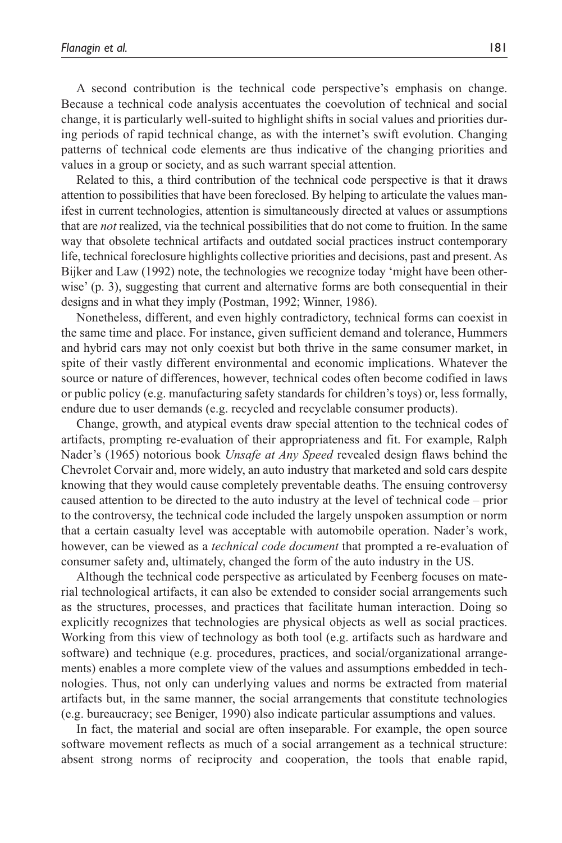A second contribution is the technical code perspective's emphasis on change. Because a technical code analysis accentuates the coevolution of technical and social change, it is particularly well-suited to highlight shifts in social values and priorities during periods of rapid technical change, as with the internet's swift evolution. Changing patterns of technical code elements are thus indicative of the changing priorities and values in a group or society, and as such warrant special attention.

Related to this, a third contribution of the technical code perspective is that it draws attention to possibilities that have been foreclosed. By helping to articulate the values manifest in current technologies, attention is simultaneously directed at values or assumptions that are *not* realized, via the technical possibilities that do not come to fruition. In the same way that obsolete technical artifacts and outdated social practices instruct contemporary life, technical foreclosure highlights collective priorities and decisions, past and present. As Bijker and Law (1992) note, the technologies we recognize today 'might have been otherwise' (p. 3), suggesting that current and alternative forms are both consequential in their designs and in what they imply (Postman, 1992; Winner, 1986).

Nonetheless, different, and even highly contradictory, technical forms can coexist in the same time and place. For instance, given sufficient demand and tolerance, Hummers and hybrid cars may not only coexist but both thrive in the same consumer market, in spite of their vastly different environmental and economic implications. Whatever the source or nature of differences, however, technical codes often become codified in laws or public policy (e.g. manufacturing safety standards for children's toys) or, less formally, endure due to user demands (e.g. recycled and recyclable consumer products).

Change, growth, and atypical events draw special attention to the technical codes of artifacts, prompting re-evaluation of their appropriateness and fit. For example, Ralph Nader's (1965) notorious book *Unsafe at Any Speed* revealed design flaws behind the Chevrolet Corvair and, more widely, an auto industry that marketed and sold cars despite knowing that they would cause completely preventable deaths. The ensuing controversy caused attention to be directed to the auto industry at the level of technical code – prior to the controversy, the technical code included the largely unspoken assumption or norm that a certain casualty level was acceptable with automobile operation. Nader's work, however, can be viewed as a *technical code document* that prompted a re-evaluation of consumer safety and, ultimately, changed the form of the auto industry in the US.

Although the technical code perspective as articulated by Feenberg focuses on material technological artifacts, it can also be extended to consider social arrangements such as the structures, processes, and practices that facilitate human interaction. Doing so explicitly recognizes that technologies are physical objects as well as social practices. Working from this view of technology as both tool (e.g. artifacts such as hardware and software) and technique (e.g. procedures, practices, and social/organizational arrangements) enables a more complete view of the values and assumptions embedded in technologies. Thus, not only can underlying values and norms be extracted from material artifacts but, in the same manner, the social arrangements that constitute technologies (e.g. bureaucracy; see Beniger, 1990) also indicate particular assumptions and values.

In fact, the material and social are often inseparable. For example, the open source software movement reflects as much of a social arrangement as a technical structure: absent strong norms of reciprocity and cooperation, the tools that enable rapid,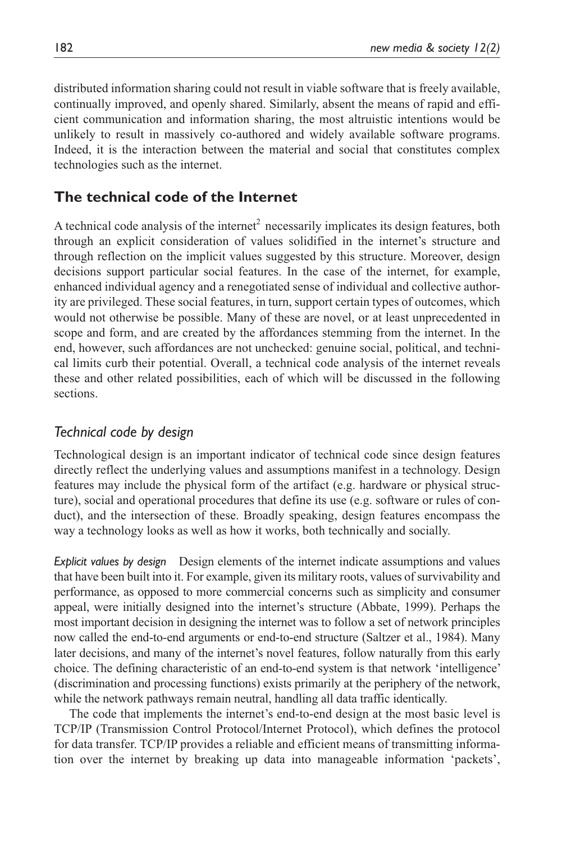distributed information sharing could not result in viable software that is freely available, continually improved, and openly shared. Similarly, absent the means of rapid and efficient communication and information sharing, the most altruistic intentions would be unlikely to result in massively co-authored and widely available software programs. Indeed, it is the interaction between the material and social that constitutes complex technologies such as the internet.

#### **The technical code of the Internet**

A technical code analysis of the internet<sup>2</sup> necessarily implicates its design features, both through an explicit consideration of values solidified in the internet's structure and through reflection on the implicit values suggested by this structure. Moreover, design decisions support particular social features. In the case of the internet, for example, enhanced individual agency and a renegotiated sense of individual and collective authority are privileged. These social features, in turn, support certain types of outcomes, which would not otherwise be possible. Many of these are novel, or at least unprecedented in scope and form, and are created by the affordances stemming from the internet. In the end, however, such affordances are not unchecked: genuine social, political, and technical limits curb their potential. Overall, a technical code analysis of the internet reveals these and other related possibilities, each of which will be discussed in the following sections.

#### *Technical code by design*

Technological design is an important indicator of technical code since design features directly reflect the underlying values and assumptions manifest in a technology. Design features may include the physical form of the artifact (e.g. hardware or physical structure), social and operational procedures that define its use (e.g. software or rules of conduct), and the intersection of these. Broadly speaking, design features encompass the way a technology looks as well as how it works, both technically and socially.

*Explicit values by design* Design elements of the internet indicate assumptions and values that have been built into it. For example, given its military roots, values of survivability and performance, as opposed to more commercial concerns such as simplicity and consumer appeal, were initially designed into the internet's structure (Abbate, 1999). Perhaps the most important decision in designing the internet was to follow a set of network principles now called the end-to-end arguments or end-to-end structure (Saltzer et al., 1984). Many later decisions, and many of the internet's novel features, follow naturally from this early choice. The defining characteristic of an end-to-end system is that network 'intelligence' (discrimination and processing functions) exists primarily at the periphery of the network, while the network pathways remain neutral, handling all data traffic identically.

The code that implements the internet's end-to-end design at the most basic level is TCP/IP (Transmission Control Protocol/Internet Protocol), which defines the protocol for data transfer. TCP/IP provides a reliable and efficient means of transmitting information over the internet by breaking up data into manageable information 'packets',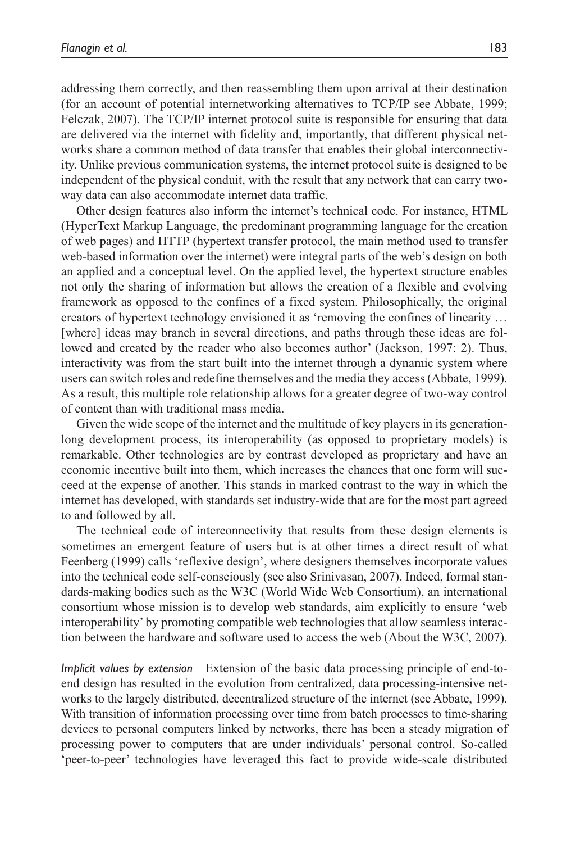addressing them correctly, and then reassembling them upon arrival at their destination (for an account of potential internetworking alternatives to TCP/IP see Abbate, 1999; Felczak, 2007). The TCP/IP internet protocol suite is responsible for ensuring that data are delivered via the internet with fidelity and, importantly, that different physical networks share a common method of data transfer that enables their global interconnectivity. Unlike previous communication systems, the internet protocol suite is designed to be independent of the physical conduit, with the result that any network that can carry twoway data can also accommodate internet data traffic.

Other design features also inform the internet's technical code. For instance, HTML (HyperText Markup Language, the predominant programming language for the creation of web pages) and HTTP (hypertext transfer protocol, the main method used to transfer web-based information over the internet) were integral parts of the web's design on both an applied and a conceptual level. On the applied level, the hypertext structure enables not only the sharing of information but allows the creation of a flexible and evolving framework as opposed to the confines of a fixed system. Philosophically, the original creators of hypertext technology envisioned it as 'removing the confines of linearity … [where] ideas may branch in several directions, and paths through these ideas are followed and created by the reader who also becomes author' (Jackson, 1997: 2). Thus, interactivity was from the start built into the internet through a dynamic system where users can switch roles and redefine themselves and the media they access (Abbate, 1999). As a result, this multiple role relationship allows for a greater degree of two-way control of content than with traditional mass media.

Given the wide scope of the internet and the multitude of key players in its generationlong development process, its interoperability (as opposed to proprietary models) is remarkable. Other technologies are by contrast developed as proprietary and have an economic incentive built into them, which increases the chances that one form will succeed at the expense of another. This stands in marked contrast to the way in which the internet has developed, with standards set industry-wide that are for the most part agreed to and followed by all.

The technical code of interconnectivity that results from these design elements is sometimes an emergent feature of users but is at other times a direct result of what Feenberg (1999) calls 'reflexive design', where designers themselves incorporate values into the technical code self-consciously (see also Srinivasan, 2007). Indeed, formal standards-making bodies such as the W3C (World Wide Web Consortium), an international consortium whose mission is to develop web standards, aim explicitly to ensure 'web interoperability' by promoting compatible web technologies that allow seamless interaction between the hardware and software used to access the web (About the W3C, 2007).

*Implicit values by extension* Extension of the basic data processing principle of end-toend design has resulted in the evolution from centralized, data processing-intensive networks to the largely distributed, decentralized structure of the internet (see Abbate, 1999). With transition of information processing over time from batch processes to time-sharing devices to personal computers linked by networks, there has been a steady migration of processing power to computers that are under individuals' personal control. So-called 'peer-to-peer' technologies have leveraged this fact to provide wide-scale distributed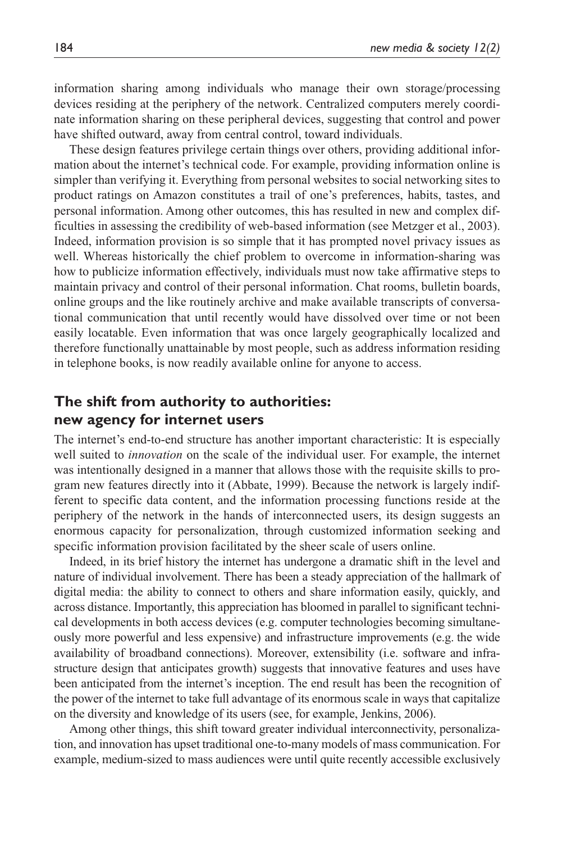information sharing among individuals who manage their own storage/processing devices residing at the periphery of the network. Centralized computers merely coordinate information sharing on these peripheral devices, suggesting that control and power have shifted outward, away from central control, toward individuals.

These design features privilege certain things over others, providing additional information about the internet's technical code. For example, providing information online is simpler than verifying it. Everything from personal websites to social networking sites to product ratings on Amazon constitutes a trail of one's preferences, habits, tastes, and personal information. Among other outcomes, this has resulted in new and complex difficulties in assessing the credibility of web-based information (see Metzger et al., 2003). Indeed, information provision is so simple that it has prompted novel privacy issues as well. Whereas historically the chief problem to overcome in information-sharing was how to publicize information effectively, individuals must now take affirmative steps to maintain privacy and control of their personal information. Chat rooms, bulletin boards, online groups and the like routinely archive and make available transcripts of conversational communication that until recently would have dissolved over time or not been easily locatable. Even information that was once largely geographically localized and therefore functionally unattainable by most people, such as address information residing in telephone books, is now readily available online for anyone to access.

# **The shift from authority to authorities: new agency for internet users**

The internet's end-to-end structure has another important characteristic: It is especially well suited to *innovation* on the scale of the individual user. For example, the internet was intentionally designed in a manner that allows those with the requisite skills to program new features directly into it (Abbate, 1999). Because the network is largely indifferent to specific data content, and the information processing functions reside at the periphery of the network in the hands of interconnected users, its design suggests an enormous capacity for personalization, through customized information seeking and specific information provision facilitated by the sheer scale of users online.

Indeed, in its brief history the internet has undergone a dramatic shift in the level and nature of individual involvement. There has been a steady appreciation of the hallmark of digital media: the ability to connect to others and share information easily, quickly, and across distance. Importantly, this appreciation has bloomed in parallel to significant technical developments in both access devices (e.g. computer technologies becoming simultaneously more powerful and less expensive) and infrastructure improvements (e.g. the wide availability of broadband connections). Moreover, extensibility (i.e. software and infrastructure design that anticipates growth) suggests that innovative features and uses have been anticipated from the internet's inception. The end result has been the recognition of the power of the internet to take full advantage of its enormous scale in ways that capitalize on the diversity and knowledge of its users (see, for example, Jenkins, 2006).

Among other things, this shift toward greater individual interconnectivity, personalization, and innovation has upset traditional one-to-many models of mass communication. For example, medium-sized to mass audiences were until quite recently accessible exclusively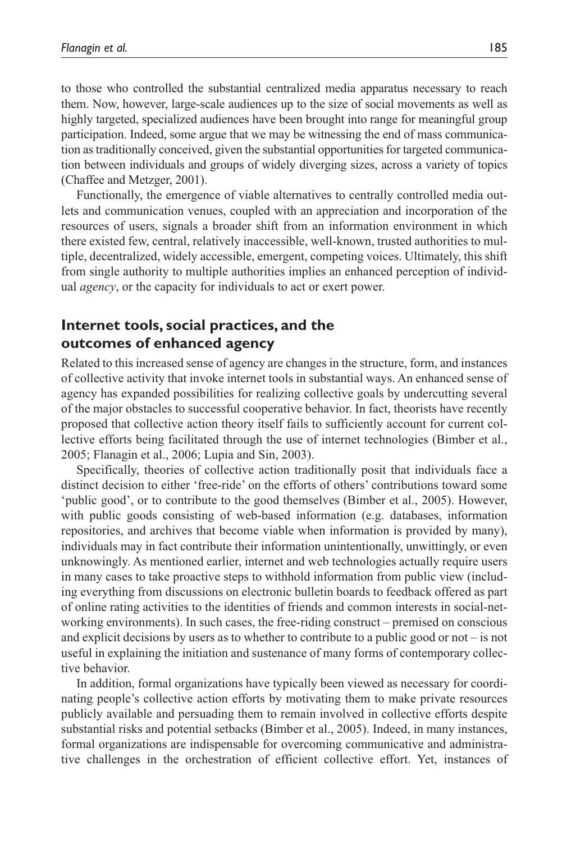to those who controlled the substantial centralized media apparatus necessary to reach them. Now, however, large-scale audiences up to the size of social movements as well as highly targeted, specialized audiences have been brought into range for meaningful group participation. Indeed, some argue that we may be witnessing the end of mass communication as traditionally conceived, given the substantial opportunities for targeted communication between individuals and groups of widely diverging sizes, across a variety of topics (Chaffee and Metzger, 2001).

Functionally, the emergence of viable alternatives to centrally controlled media outlets and communication venues, coupled with an appreciation and incorporation of the resources of users, signals a broader shift from an information environment in which there existed few, central, relatively inaccessible, well-known, trusted authorities to multiple, decentralized, widely accessible, emergent, competing voices. Ultimately, this shift from single authority to multiple authorities implies an enhanced perception of individual *agency*, or the capacity for individuals to act or exert power.

### **Internet tools, social practices, and the outcomes of enhanced agency**

Related to this increased sense of agency are changes in the structure, form, and instances of collective activity that invoke internet tools in substantial ways. An enhanced sense of agency has expanded possibilities for realizing collective goals by undercutting several of the major obstacles to successful cooperative behavior. In fact, theorists have recently proposed that collective action theory itself fails to sufficiently account for current collective efforts being facilitated through the use of internet technologies (Bimber et al., 2005; Flanagin et al., 2006; Lupia and Sin, 2003).

Specifically, theories of collective action traditionally posit that individuals face a distinct decision to either 'free-ride' on the efforts of others' contributions toward some 'public good', or to contribute to the good themselves (Bimber et al., 2005). However, with public goods consisting of web-based information (e.g. databases, information repositories, and archives that become viable when information is provided by many), individuals may in fact contribute their information unintentionally, unwittingly, or even unknowingly. As mentioned earlier, internet and web technologies actually require users in many cases to take proactive steps to withhold information from public view (including everything from discussions on electronic bulletin boards to feedback offered as part of online rating activities to the identities of friends and common interests in social-networking environments). In such cases, the free-riding construct – premised on conscious and explicit decisions by users as to whether to contribute to a public good or not – is not useful in explaining the initiation and sustenance of many forms of contemporary collective behavior.

In addition, formal organizations have typically been viewed as necessary for coordinating people's collective action efforts by motivating them to make private resources publicly available and persuading them to remain involved in collective efforts despite substantial risks and potential setbacks (Bimber et al., 2005). Indeed, in many instances, formal organizations are indispensable for overcoming communicative and administrative challenges in the orchestration of efficient collective effort. Yet, instances of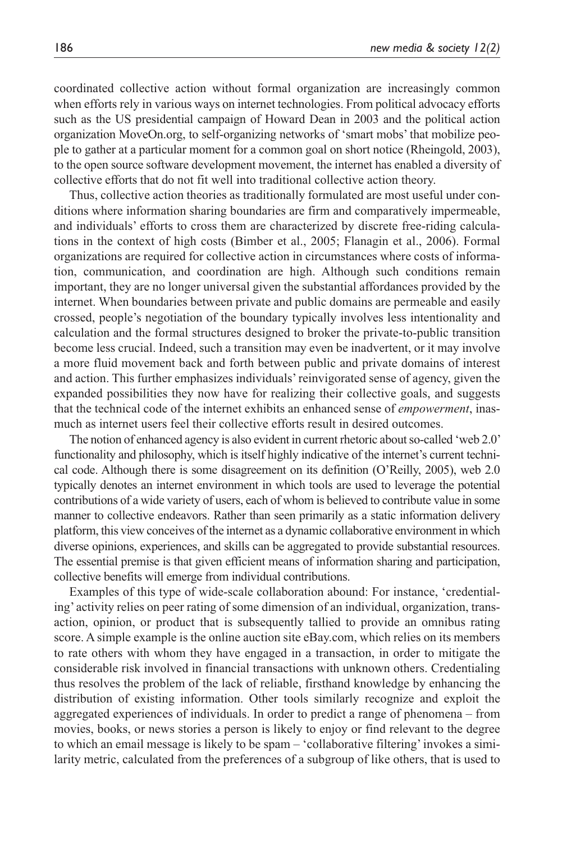coordinated collective action without formal organization are increasingly common when efforts rely in various ways on internet technologies. From political advocacy efforts such as the US presidential campaign of Howard Dean in 2003 and the political action organization MoveOn.org, to self-organizing networks of 'smart mobs' that mobilize people to gather at a particular moment for a common goal on short notice (Rheingold, 2003), to the open source software development movement, the internet has enabled a diversity of collective efforts that do not fit well into traditional collective action theory.

Thus, collective action theories as traditionally formulated are most useful under conditions where information sharing boundaries are firm and comparatively impermeable, and individuals' efforts to cross them are characterized by discrete free-riding calculations in the context of high costs (Bimber et al., 2005; Flanagin et al., 2006). Formal organizations are required for collective action in circumstances where costs of information, communication, and coordination are high. Although such conditions remain important, they are no longer universal given the substantial affordances provided by the internet. When boundaries between private and public domains are permeable and easily crossed, people's negotiation of the boundary typically involves less intentionality and calculation and the formal structures designed to broker the private-to-public transition become less crucial. Indeed, such a transition may even be inadvertent, or it may involve a more fluid movement back and forth between public and private domains of interest and action. This further emphasizes individuals' reinvigorated sense of agency, given the expanded possibilities they now have for realizing their collective goals, and suggests that the technical code of the internet exhibits an enhanced sense of *empowerment*, inasmuch as internet users feel their collective efforts result in desired outcomes.

The notion of enhanced agency is also evident in current rhetoric about so-called 'web 2.0' functionality and philosophy, which is itself highly indicative of the internet's current technical code. Although there is some disagreement on its definition (O'Reilly, 2005), web 2.0 typically denotes an internet environment in which tools are used to leverage the potential contributions of a wide variety of users, each of whom is believed to contribute value in some manner to collective endeavors. Rather than seen primarily as a static information delivery platform, this view conceives of the internet as a dynamic collaborative environment in which diverse opinions, experiences, and skills can be aggregated to provide substantial resources. The essential premise is that given efficient means of information sharing and participation, collective benefits will emerge from individual contributions.

Examples of this type of wide-scale collaboration abound: For instance, 'credentialing' activity relies on peer rating of some dimension of an individual, organization, transaction, opinion, or product that is subsequently tallied to provide an omnibus rating score. A simple example is the online auction site eBay.com, which relies on its members to rate others with whom they have engaged in a transaction, in order to mitigate the considerable risk involved in financial transactions with unknown others. Credentialing thus resolves the problem of the lack of reliable, firsthand knowledge by enhancing the distribution of existing information. Other tools similarly recognize and exploit the aggregated experiences of individuals. In order to predict a range of phenomena – from movies, books, or news stories a person is likely to enjoy or find relevant to the degree to which an email message is likely to be spam – 'collaborative filtering' invokes a similarity metric, calculated from the preferences of a subgroup of like others, that is used to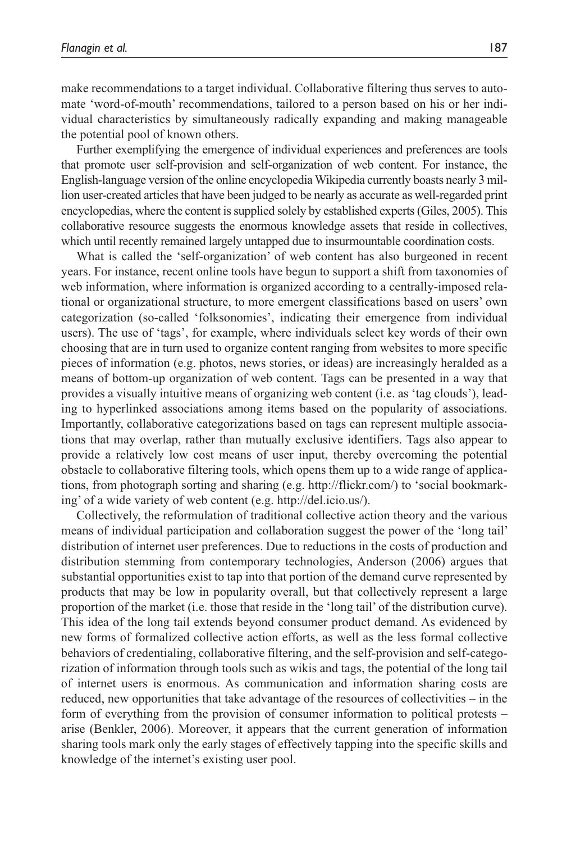make recommendations to a target individual. Collaborative filtering thus serves to automate 'word-of-mouth' recommendations, tailored to a person based on his or her individual characteristics by simultaneously radically expanding and making manageable the potential pool of known others.

Further exemplifying the emergence of individual experiences and preferences are tools that promote user self-provision and self-organization of web content. For instance, the English-language version of the online encyclopedia Wikipedia currently boasts nearly 3 million user-created articles that have been judged to be nearly as accurate as well-regarded print encyclopedias, where the content is supplied solely by established experts (Giles, 2005). This collaborative resource suggests the enormous knowledge assets that reside in collectives, which until recently remained largely untapped due to insurmountable coordination costs.

What is called the 'self-organization' of web content has also burgeoned in recent years. For instance, recent online tools have begun to support a shift from taxonomies of web information, where information is organized according to a centrally-imposed relational or organizational structure, to more emergent classifications based on users' own categorization (so-called 'folksonomies', indicating their emergence from individual users). The use of 'tags', for example, where individuals select key words of their own choosing that are in turn used to organize content ranging from websites to more specific pieces of information (e.g. photos, news stories, or ideas) are increasingly heralded as a means of bottom-up organization of web content. Tags can be presented in a way that provides a visually intuitive means of organizing web content (i.e. as 'tag clouds'), leading to hyperlinked associations among items based on the popularity of associations. Importantly, collaborative categorizations based on tags can represent multiple associations that may overlap, rather than mutually exclusive identifiers. Tags also appear to provide a relatively low cost means of user input, thereby overcoming the potential obstacle to collaborative filtering tools, which opens them up to a wide range of applications, from photograph sorting and sharing (e.g. http://flickr.com/) to 'social bookmarking' of a wide variety of web content (e.g. http://del.icio.us/).

Collectively, the reformulation of traditional collective action theory and the various means of individual participation and collaboration suggest the power of the 'long tail' distribution of internet user preferences. Due to reductions in the costs of production and distribution stemming from contemporary technologies, Anderson (2006) argues that substantial opportunities exist to tap into that portion of the demand curve represented by products that may be low in popularity overall, but that collectively represent a large proportion of the market (i.e. those that reside in the 'long tail' of the distribution curve). This idea of the long tail extends beyond consumer product demand. As evidenced by new forms of formalized collective action efforts, as well as the less formal collective behaviors of credentialing, collaborative filtering, and the self-provision and self-categorization of information through tools such as wikis and tags, the potential of the long tail of internet users is enormous. As communication and information sharing costs are reduced, new opportunities that take advantage of the resources of collectivities – in the form of everything from the provision of consumer information to political protests – arise (Benkler, 2006). Moreover, it appears that the current generation of information sharing tools mark only the early stages of effectively tapping into the specific skills and knowledge of the internet's existing user pool.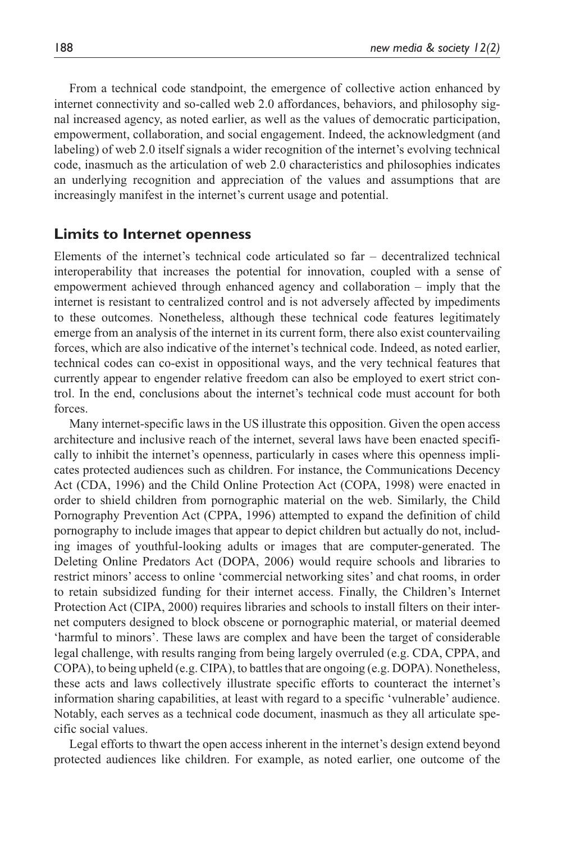From a technical code standpoint, the emergence of collective action enhanced by internet connectivity and so-called web 2.0 affordances, behaviors, and philosophy signal increased agency, as noted earlier, as well as the values of democratic participation, empowerment, collaboration, and social engagement. Indeed, the acknowledgment (and labeling) of web 2.0 itself signals a wider recognition of the internet's evolving technical code, inasmuch as the articulation of web 2.0 characteristics and philosophies indicates an underlying recognition and appreciation of the values and assumptions that are increasingly manifest in the internet's current usage and potential.

#### **Limits to Internet openness**

Elements of the internet's technical code articulated so far – decentralized technical interoperability that increases the potential for innovation, coupled with a sense of empowerment achieved through enhanced agency and collaboration – imply that the internet is resistant to centralized control and is not adversely affected by impediments to these outcomes. Nonetheless, although these technical code features legitimately emerge from an analysis of the internet in its current form, there also exist countervailing forces, which are also indicative of the internet's technical code. Indeed, as noted earlier, technical codes can co-exist in oppositional ways, and the very technical features that currently appear to engender relative freedom can also be employed to exert strict control. In the end, conclusions about the internet's technical code must account for both forces.

Many internet-specific laws in the US illustrate this opposition. Given the open access architecture and inclusive reach of the internet, several laws have been enacted specifically to inhibit the internet's openness, particularly in cases where this openness implicates protected audiences such as children. For instance, the Communications Decency Act (CDA, 1996) and the Child Online Protection Act (COPA, 1998) were enacted in order to shield children from pornographic material on the web. Similarly, the Child Pornography Prevention Act (CPPA, 1996) attempted to expand the definition of child pornography to include images that appear to depict children but actually do not, including images of youthful-looking adults or images that are computer-generated. The Deleting Online Predators Act (DOPA, 2006) would require schools and libraries to restrict minors' access to online 'commercial networking sites' and chat rooms, in order to retain subsidized funding for their internet access. Finally, the Children's Internet Protection Act (CIPA, 2000) requires libraries and schools to install filters on their internet computers designed to block obscene or pornographic material, or material deemed 'harmful to minors'. These laws are complex and have been the target of considerable legal challenge, with results ranging from being largely overruled (e.g. CDA, CPPA, and COPA), to being upheld (e.g. CIPA), to battles that are ongoing (e.g. DOPA). Nonetheless, these acts and laws collectively illustrate specific efforts to counteract the internet's information sharing capabilities, at least with regard to a specific 'vulnerable' audience. Notably, each serves as a technical code document, inasmuch as they all articulate specific social values.

Legal efforts to thwart the open access inherent in the internet's design extend beyond protected audiences like children. For example, as noted earlier, one outcome of the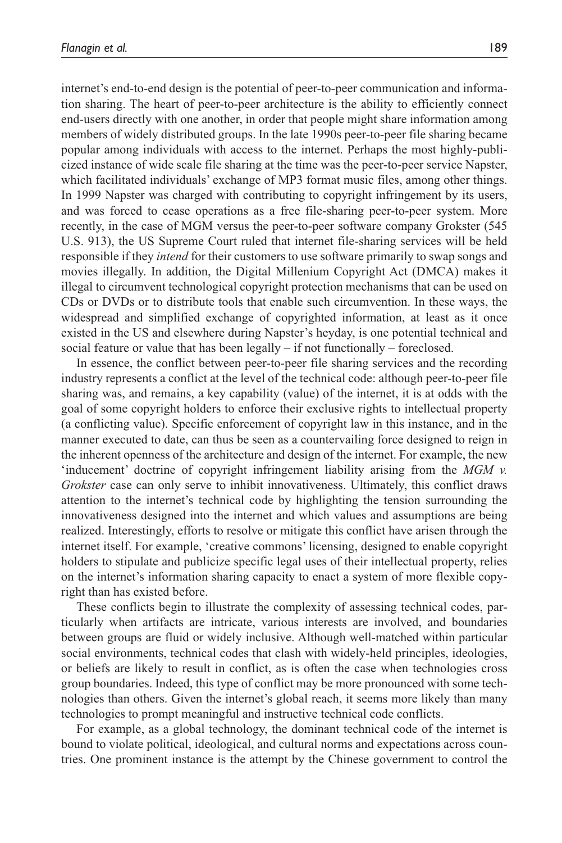internet's end-to-end design is the potential of peer-to-peer communication and information sharing. The heart of peer-to-peer architecture is the ability to efficiently connect end-users directly with one another, in order that people might share information among members of widely distributed groups. In the late 1990s peer-to-peer file sharing became popular among individuals with access to the internet. Perhaps the most highly-publicized instance of wide scale file sharing at the time was the peer-to-peer service Napster, which facilitated individuals' exchange of MP3 format music files, among other things. In 1999 Napster was charged with contributing to copyright infringement by its users, and was forced to cease operations as a free file-sharing peer-to-peer system. More recently, in the case of MGM versus the peer-to-peer software company Grokster (545 U.S. 913), the US Supreme Court ruled that internet file-sharing services will be held responsible if they *intend* for their customers to use software primarily to swap songs and movies illegally. In addition, the Digital Millenium Copyright Act (DMCA) makes it illegal to circumvent technological copyright protection mechanisms that can be used on CDs or DVDs or to distribute tools that enable such circumvention. In these ways, the widespread and simplified exchange of copyrighted information, at least as it once existed in the US and elsewhere during Napster's heyday, is one potential technical and social feature or value that has been legally – if not functionally – foreclosed.

In essence, the conflict between peer-to-peer file sharing services and the recording industry represents a conflict at the level of the technical code: although peer-to-peer file sharing was, and remains, a key capability (value) of the internet, it is at odds with the goal of some copyright holders to enforce their exclusive rights to intellectual property (a conflicting value). Specific enforcement of copyright law in this instance, and in the manner executed to date, can thus be seen as a countervailing force designed to reign in the inherent openness of the architecture and design of the internet. For example, the new 'inducement' doctrine of copyright infringement liability arising from the *MGM v. Grokster* case can only serve to inhibit innovativeness. Ultimately, this conflict draws attention to the internet's technical code by highlighting the tension surrounding the innovativeness designed into the internet and which values and assumptions are being realized. Interestingly, efforts to resolve or mitigate this conflict have arisen through the internet itself. For example, 'creative commons' licensing, designed to enable copyright holders to stipulate and publicize specific legal uses of their intellectual property, relies on the internet's information sharing capacity to enact a system of more flexible copyright than has existed before.

These conflicts begin to illustrate the complexity of assessing technical codes, particularly when artifacts are intricate, various interests are involved, and boundaries between groups are fluid or widely inclusive. Although well-matched within particular social environments, technical codes that clash with widely-held principles, ideologies, or beliefs are likely to result in conflict, as is often the case when technologies cross group boundaries. Indeed, this type of conflict may be more pronounced with some technologies than others. Given the internet's global reach, it seems more likely than many technologies to prompt meaningful and instructive technical code conflicts.

For example, as a global technology, the dominant technical code of the internet is bound to violate political, ideological, and cultural norms and expectations across countries. One prominent instance is the attempt by the Chinese government to control the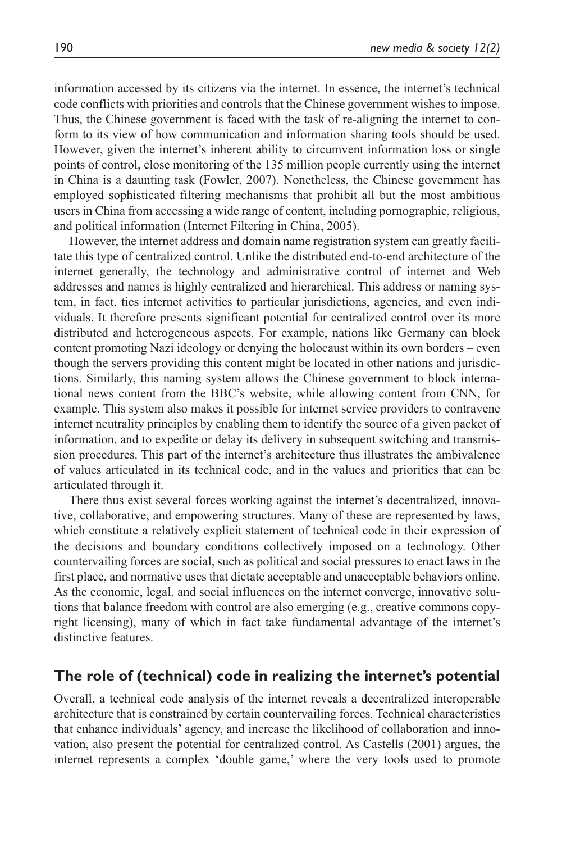information accessed by its citizens via the internet. In essence, the internet's technical code conflicts with priorities and controls that the Chinese government wishes to impose. Thus, the Chinese government is faced with the task of re-aligning the internet to conform to its view of how communication and information sharing tools should be used. However, given the internet's inherent ability to circumvent information loss or single points of control, close monitoring of the 135 million people currently using the internet in China is a daunting task (Fowler, 2007). Nonetheless, the Chinese government has employed sophisticated filtering mechanisms that prohibit all but the most ambitious users in China from accessing a wide range of content, including pornographic, religious, and political information (Internet Filtering in China, 2005).

However, the internet address and domain name registration system can greatly facilitate this type of centralized control. Unlike the distributed end-to-end architecture of the internet generally, the technology and administrative control of internet and Web addresses and names is highly centralized and hierarchical. This address or naming system, in fact, ties internet activities to particular jurisdictions, agencies, and even individuals. It therefore presents significant potential for centralized control over its more distributed and heterogeneous aspects. For example, nations like Germany can block content promoting Nazi ideology or denying the holocaust within its own borders – even though the servers providing this content might be located in other nations and jurisdictions. Similarly, this naming system allows the Chinese government to block international news content from the BBC's website, while allowing content from CNN, for example. This system also makes it possible for internet service providers to contravene internet neutrality principles by enabling them to identify the source of a given packet of information, and to expedite or delay its delivery in subsequent switching and transmission procedures. This part of the internet's architecture thus illustrates the ambivalence of values articulated in its technical code, and in the values and priorities that can be articulated through it.

There thus exist several forces working against the internet's decentralized, innovative, collaborative, and empowering structures. Many of these are represented by laws, which constitute a relatively explicit statement of technical code in their expression of the decisions and boundary conditions collectively imposed on a technology. Other countervailing forces are social, such as political and social pressures to enact laws in the first place, and normative uses that dictate acceptable and unacceptable behaviors online. As the economic, legal, and social influences on the internet converge, innovative solutions that balance freedom with control are also emerging (e.g., creative commons copyright licensing), many of which in fact take fundamental advantage of the internet's distinctive features.

#### **The role of (technical) code in realizing the internet's potential**

Overall, a technical code analysis of the internet reveals a decentralized interoperable architecture that is constrained by certain countervailing forces. Technical characteristics that enhance individuals' agency, and increase the likelihood of collaboration and innovation, also present the potential for centralized control. As Castells (2001) argues, the internet represents a complex 'double game,' where the very tools used to promote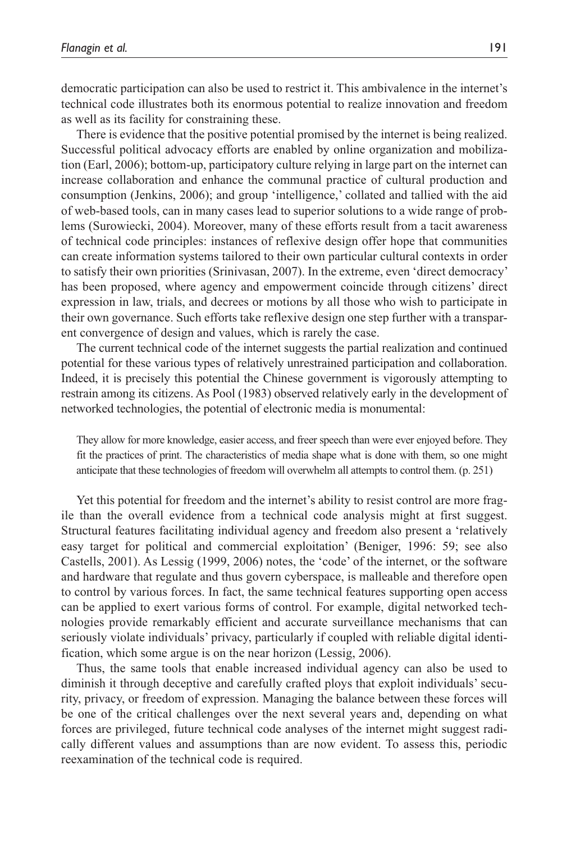democratic participation can also be used to restrict it. This ambivalence in the internet's technical code illustrates both its enormous potential to realize innovation and freedom as well as its facility for constraining these.

There is evidence that the positive potential promised by the internet is being realized. Successful political advocacy efforts are enabled by online organization and mobilization (Earl, 2006); bottom-up, participatory culture relying in large part on the internet can increase collaboration and enhance the communal practice of cultural production and consumption (Jenkins, 2006); and group 'intelligence,' collated and tallied with the aid of web-based tools, can in many cases lead to superior solutions to a wide range of problems (Surowiecki, 2004). Moreover, many of these efforts result from a tacit awareness of technical code principles: instances of reflexive design offer hope that communities can create information systems tailored to their own particular cultural contexts in order to satisfy their own priorities (Srinivasan, 2007). In the extreme, even 'direct democracy' has been proposed, where agency and empowerment coincide through citizens' direct expression in law, trials, and decrees or motions by all those who wish to participate in their own governance. Such efforts take reflexive design one step further with a transparent convergence of design and values, which is rarely the case.

The current technical code of the internet suggests the partial realization and continued potential for these various types of relatively unrestrained participation and collaboration. Indeed, it is precisely this potential the Chinese government is vigorously attempting to restrain among its citizens. As Pool (1983) observed relatively early in the development of networked technologies, the potential of electronic media is monumental:

They allow for more knowledge, easier access, and freer speech than were ever enjoyed before. They fit the practices of print. The characteristics of media shape what is done with them, so one might anticipate that these technologies of freedom will overwhelm all attempts to control them. (p. 251)

Yet this potential for freedom and the internet's ability to resist control are more fragile than the overall evidence from a technical code analysis might at first suggest. Structural features facilitating individual agency and freedom also present a 'relatively easy target for political and commercial exploitation' (Beniger, 1996: 59; see also Castells, 2001). As Lessig (1999, 2006) notes, the 'code' of the internet, or the software and hardware that regulate and thus govern cyberspace, is malleable and therefore open to control by various forces. In fact, the same technical features supporting open access can be applied to exert various forms of control. For example, digital networked technologies provide remarkably efficient and accurate surveillance mechanisms that can seriously violate individuals' privacy, particularly if coupled with reliable digital identification, which some argue is on the near horizon (Lessig, 2006).

Thus, the same tools that enable increased individual agency can also be used to diminish it through deceptive and carefully crafted ploys that exploit individuals' security, privacy, or freedom of expression. Managing the balance between these forces will be one of the critical challenges over the next several years and, depending on what forces are privileged, future technical code analyses of the internet might suggest radically different values and assumptions than are now evident. To assess this, periodic reexamination of the technical code is required.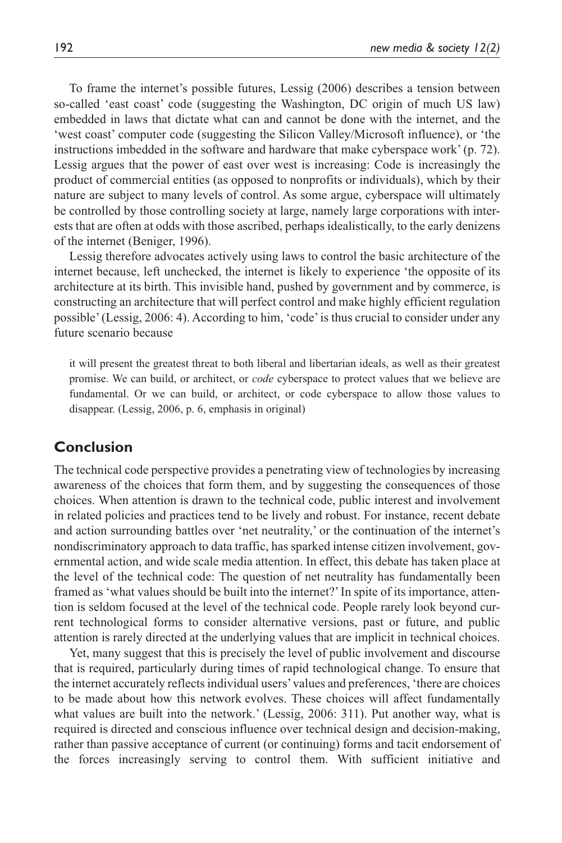To frame the internet's possible futures, Lessig (2006) describes a tension between so-called 'east coast' code (suggesting the Washington, DC origin of much US law) embedded in laws that dictate what can and cannot be done with the internet, and the 'west coast' computer code (suggesting the Silicon Valley/Microsoft influence), or 'the instructions imbedded in the software and hardware that make cyberspace work' (p. 72). Lessig argues that the power of east over west is increasing: Code is increasingly the product of commercial entities (as opposed to nonprofits or individuals), which by their nature are subject to many levels of control. As some argue, cyberspace will ultimately be controlled by those controlling society at large, namely large corporations with interests that are often at odds with those ascribed, perhaps idealistically, to the early denizens of the internet (Beniger, 1996).

Lessig therefore advocates actively using laws to control the basic architecture of the internet because, left unchecked, the internet is likely to experience 'the opposite of its architecture at its birth. This invisible hand, pushed by government and by commerce, is constructing an architecture that will perfect control and make highly efficient regulation possible' (Lessig, 2006: 4). According to him, 'code' is thus crucial to consider under any future scenario because

it will present the greatest threat to both liberal and libertarian ideals, as well as their greatest promise. We can build, or architect, or *code* cyberspace to protect values that we believe are fundamental. Or we can build, or architect, or code cyberspace to allow those values to disappear. (Lessig, 2006, p. 6, emphasis in original)

#### **Conclusion**

The technical code perspective provides a penetrating view of technologies by increasing awareness of the choices that form them, and by suggesting the consequences of those choices. When attention is drawn to the technical code, public interest and involvement in related policies and practices tend to be lively and robust. For instance, recent debate and action surrounding battles over 'net neutrality,' or the continuation of the internet's nondiscriminatory approach to data traffic, has sparked intense citizen involvement, governmental action, and wide scale media attention. In effect, this debate has taken place at the level of the technical code: The question of net neutrality has fundamentally been framed as 'what values should be built into the internet?' In spite of its importance, attention is seldom focused at the level of the technical code. People rarely look beyond current technological forms to consider alternative versions, past or future, and public attention is rarely directed at the underlying values that are implicit in technical choices.

Yet, many suggest that this is precisely the level of public involvement and discourse that is required, particularly during times of rapid technological change. To ensure that the internet accurately reflects individual users' values and preferences, 'there are choices to be made about how this network evolves. These choices will affect fundamentally what values are built into the network.' (Lessig, 2006: 311). Put another way, what is required is directed and conscious influence over technical design and decision-making, rather than passive acceptance of current (or continuing) forms and tacit endorsement of the forces increasingly serving to control them. With sufficient initiative and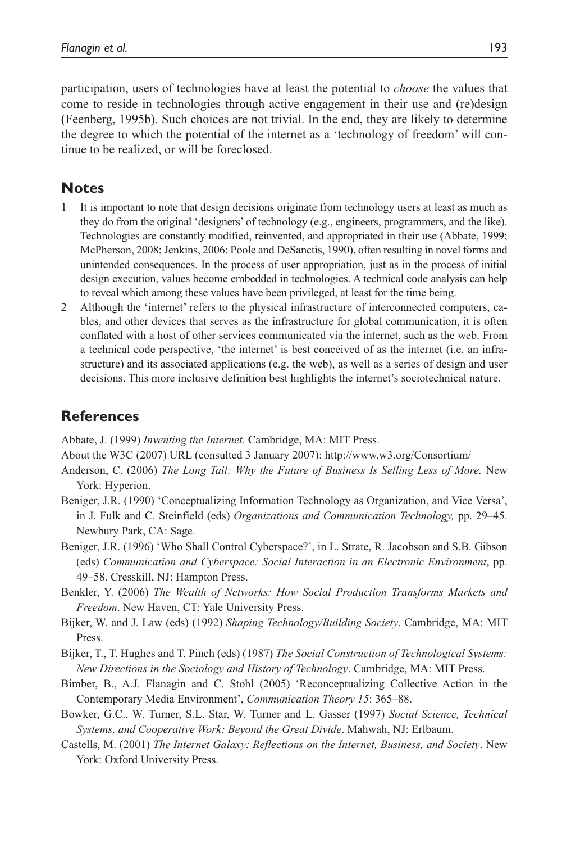participation, users of technologies have at least the potential to *choose* the values that come to reside in technologies through active engagement in their use and (re)design (Feenberg, 1995b). Such choices are not trivial. In the end, they are likely to determine the degree to which the potential of the internet as a 'technology of freedom' will continue to be realized, or will be foreclosed.

## **Notes**

- 1 It is important to note that design decisions originate from technology users at least as much as they do from the original 'designers' of technology (e.g., engineers, programmers, and the like). Technologies are constantly modified, reinvented, and appropriated in their use (Abbate, 1999; McPherson, 2008; Jenkins, 2006; Poole and DeSanctis, 1990), often resulting in novel forms and unintended consequences. In the process of user appropriation, just as in the process of initial design execution, values become embedded in technologies. A technical code analysis can help to reveal which among these values have been privileged, at least for the time being.
- 2 Although the 'internet' refers to the physical infrastructure of interconnected computers, cables, and other devices that serves as the infrastructure for global communication, it is often conflated with a host of other services communicated via the internet, such as the web. From a technical code perspective, 'the internet' is best conceived of as the internet (i.e. an infrastructure) and its associated applications (e.g. the web), as well as a series of design and user decisions. This more inclusive definition best highlights the internet's sociotechnical nature.

# **References**

Abbate, J. (1999) *Inventing the Internet*. Cambridge, MA: MIT Press.

About the W3C (2007) URL (consulted 3 January 2007): http://www.w3.org/Consortium/

- Anderson, C. (2006) *The Long Tail: Why the Future of Business Is Selling Less of More.* New York: Hyperion.
- Beniger, J.R. (1990) 'Conceptualizing Information Technology as Organization, and Vice Versa', in J. Fulk and C. Steinfield (eds) *Organizations and Communication Technology,* pp. 29–45. Newbury Park, CA: Sage.
- Beniger, J.R. (1996) 'Who Shall Control Cyberspace?', in L. Strate, R. Jacobson and S.B. Gibson (eds) *Communication and Cyberspace: Social Interaction in an Electronic Environment*, pp. 49–58. Cresskill, NJ: Hampton Press.
- Benkler, Y. (2006) *The Wealth of Networks: How Social Production Transforms Markets and Freedom*. New Haven, CT: Yale University Press.
- Bijker, W. and J. Law (eds) (1992) *Shaping Technology/Building Society*. Cambridge, MA: MIT Press.
- Bijker, T., T. Hughes and T. Pinch (eds) (1987) *The Social Construction of Technological Systems: New Directions in the Sociology and History of Technology*. Cambridge, MA: MIT Press.
- Bimber, B., A.J. Flanagin and C. Stohl (2005) 'Reconceptualizing Collective Action in the Contemporary Media Environment', *Communication Theory 15*: 365–88.
- Bowker, G.C., W. Turner, S.L. Star, W. Turner and L. Gasser (1997) *Social Science, Technical Systems, and Cooperative Work: Beyond the Great Divide*. Mahwah, NJ: Erlbaum.
- Castells, M. (2001) *The Internet Galaxy: Reflections on the Internet, Business, and Society*. New York: Oxford University Press.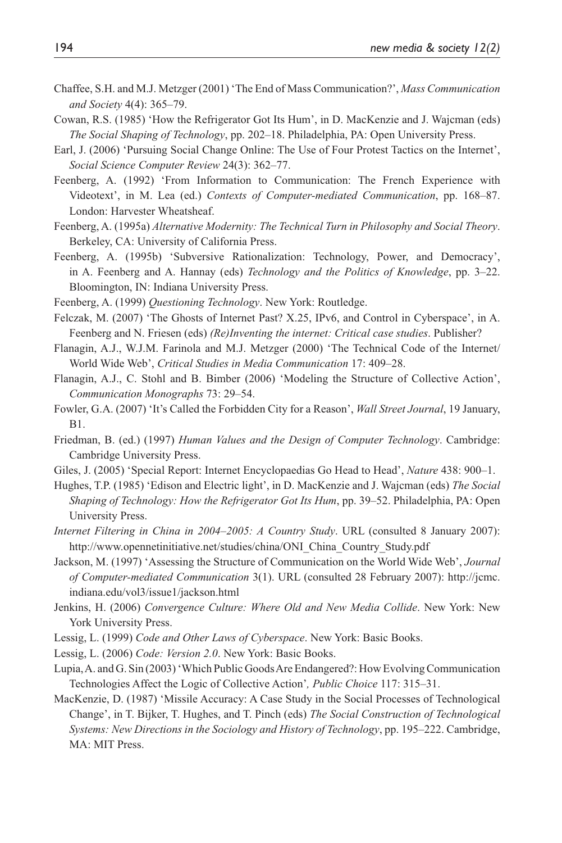- Chaffee, S.H. and M.J. Metzger (2001) 'The End of Mass Communication?', *Mass Communication and Society* 4(4): 365–79.
- Cowan, R.S. (1985) 'How the Refrigerator Got Its Hum', in D. MacKenzie and J. Wajcman (eds) *The Social Shaping of Technology*, pp. 202–18. Philadelphia, PA: Open University Press.
- Earl, J. (2006) 'Pursuing Social Change Online: The Use of Four Protest Tactics on the Internet', *Social Science Computer Review* 24(3): 362–77.
- Feenberg, A. (1992) 'From Information to Communication: The French Experience with Videotext', in M. Lea (ed.) *Contexts of Computer-mediated Communication*, pp. 168–87. London: Harvester Wheatsheaf.
- Feenberg, A. (1995a) *Alternative Modernity: The Technical Turn in Philosophy and Social Theory*. Berkeley, CA: University of California Press.
- Feenberg, A. (1995b) 'Subversive Rationalization: Technology, Power, and Democracy', in A. Feenberg and A. Hannay (eds) *Technology and the Politics of Knowledge*, pp. 3–22. Bloomington, IN: Indiana University Press.
- Feenberg, A. (1999) *Questioning Technology*. New York: Routledge.
- Felczak, M. (2007) 'The Ghosts of Internet Past? X.25, IPv6, and Control in Cyberspace', in A. Feenberg and N. Friesen (eds) *(Re)Inventing the internet: Critical case studies*. Publisher?
- Flanagin, A.J., W.J.M. Farinola and M.J. Metzger (2000) 'The Technical Code of the Internet/ World Wide Web', *Critical Studies in Media Communication* 17: 409–28.
- Flanagin, A.J., C. Stohl and B. Bimber (2006) 'Modeling the Structure of Collective Action', *Communication Monographs* 73: 29–54.
- Fowler, G.A. (2007) 'It's Called the Forbidden City for a Reason', *Wall Street Journal*, 19 January, B1.
- Friedman, B. (ed.) (1997) *Human Values and the Design of Computer Technology*. Cambridge: Cambridge University Press.
- Giles, J. (2005) 'Special Report: Internet Encyclopaedias Go Head to Head', *Nature* 438: 900-1.
- Hughes, T.P. (1985) 'Edison and Electric light', in D. MacKenzie and J. Wajcman (eds) *The Social Shaping of Technology: How the Refrigerator Got Its Hum*, pp. 39–52. Philadelphia, PA: Open University Press.
- *Internet Filtering in China in 2004–2005: A Country Study*. URL (consulted 8 January 2007): http://www.opennetinitiative.net/studies/china/ONI\_China\_Country\_Study.pdf
- Jackson, M. (1997) 'Assessing the Structure of Communication on the World Wide Web', *Journal of Computer-mediated Communication* 3(1). URL (consulted 28 February 2007): http://jcmc. indiana.edu/vol3/issue1/jackson.html
- Jenkins, H. (2006) *Convergence Culture: Where Old and New Media Collide*. New York: New York University Press.
- Lessig, L. (1999) *Code and Other Laws of Cyberspace*. New York: Basic Books.
- Lessig, L. (2006) *Code: Version 2.0*. New York: Basic Books.
- Lupia, A. and G. Sin (2003) 'Which Public Goods Are Endangered?: How Evolving Communication Technologies Affect the Logic of Collective Action'*, Public Choice* 117: 315–31.
- MacKenzie, D. (1987) 'Missile Accuracy: A Case Study in the Social Processes of Technological Change', in T. Bijker, T. Hughes, and T. Pinch (eds) *The Social Construction of Technological Systems: New Directions in the Sociology and History of Technology*, pp. 195–222. Cambridge, MA: MIT Press.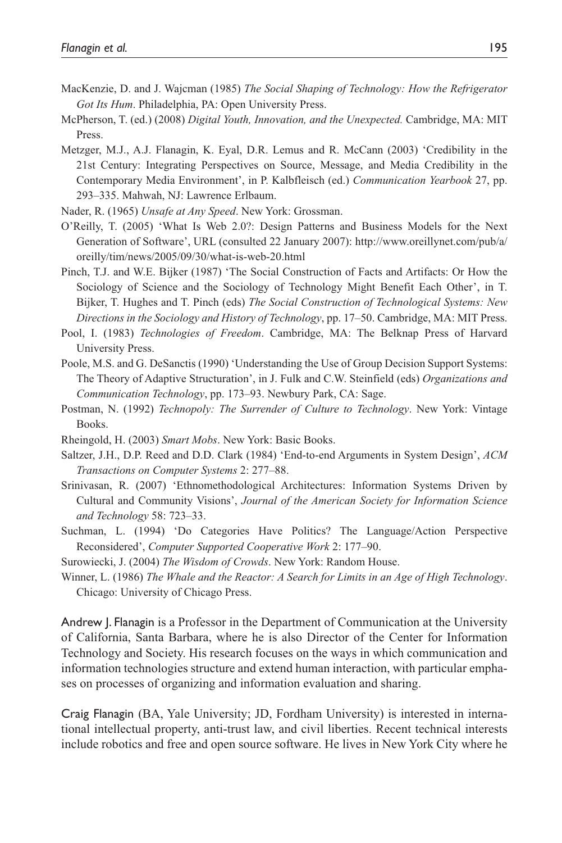- MacKenzie, D. and J. Wajcman (1985) *The Social Shaping of Technology: How the Refrigerator Got Its Hum*. Philadelphia, PA: Open University Press.
- McPherson, T. (ed.) (2008) *Digital Youth, Innovation, and the Unexpected.* Cambridge, MA: MIT Press.
- Metzger, M.J., A.J. Flanagin, K. Eyal, D.R. Lemus and R. McCann (2003) 'Credibility in the 21st Century: Integrating Perspectives on Source, Message, and Media Credibility in the Contemporary Media Environment', in P. Kalbfleisch (ed.) *Communication Yearbook* 27, pp. 293–335. Mahwah, NJ: Lawrence Erlbaum.
- Nader, R. (1965) *Unsafe at Any Speed*. New York: Grossman.
- O'Reilly, T. (2005) 'What Is Web 2.0?: Design Patterns and Business Models for the Next Generation of Software', URL (consulted 22 January 2007): http://www.oreillynet.com/pub/a/ oreilly/tim/news/2005/09/30/what-is-web-20.html
- Pinch, T.J. and W.E. Bijker (1987) 'The Social Construction of Facts and Artifacts: Or How the Sociology of Science and the Sociology of Technology Might Benefit Each Other', in T. Bijker, T. Hughes and T. Pinch (eds) *The Social Construction of Technological Systems: New Directions in the Sociology and History of Technology*, pp. 17–50. Cambridge, MA: MIT Press.
- Pool, I. (1983) *Technologies of Freedom*. Cambridge, MA: The Belknap Press of Harvard University Press.
- Poole, M.S. and G. DeSanctis (1990) 'Understanding the Use of Group Decision Support Systems: The Theory of Adaptive Structuration', in J. Fulk and C.W. Steinfield (eds) *Organizations and Communication Technology*, pp. 173–93. Newbury Park, CA: Sage.
- Postman, N. (1992) *Technopoly: The Surrender of Culture to Technology*. New York: Vintage Books.
- Rheingold, H. (2003) *Smart Mobs*. New York: Basic Books.
- Saltzer, J.H., D.P. Reed and D.D. Clark (1984) 'End-to-end Arguments in System Design', *ACM Transactions on Computer Systems* 2: 277–88.
- Srinivasan, R. (2007) 'Ethnomethodological Architectures: Information Systems Driven by Cultural and Community Visions', *Journal of the American Society for Information Science and Technology* 58: 723–33.
- Suchman, L. (1994) 'Do Categories Have Politics? The Language/Action Perspective Reconsidered', *Computer Supported Cooperative Work* 2: 177–90.
- Surowiecki, J. (2004) *The Wisdom of Crowds*. New York: Random House.
- Winner, L. (1986) *The Whale and the Reactor: A Search for Limits in an Age of High Technology*. Chicago: University of Chicago Press.

Andrew J. Flanagin is a Professor in the Department of Communication at the University of California, Santa Barbara, where he is also Director of the Center for Information Technology and Society. His research focuses on the ways in which communication and information technologies structure and extend human interaction, with particular emphases on processes of organizing and information evaluation and sharing.

Craig Flanagin (BA, Yale University; JD, Fordham University) is interested in international intellectual property, anti-trust law, and civil liberties. Recent technical interests include robotics and free and open source software. He lives in New York City where he